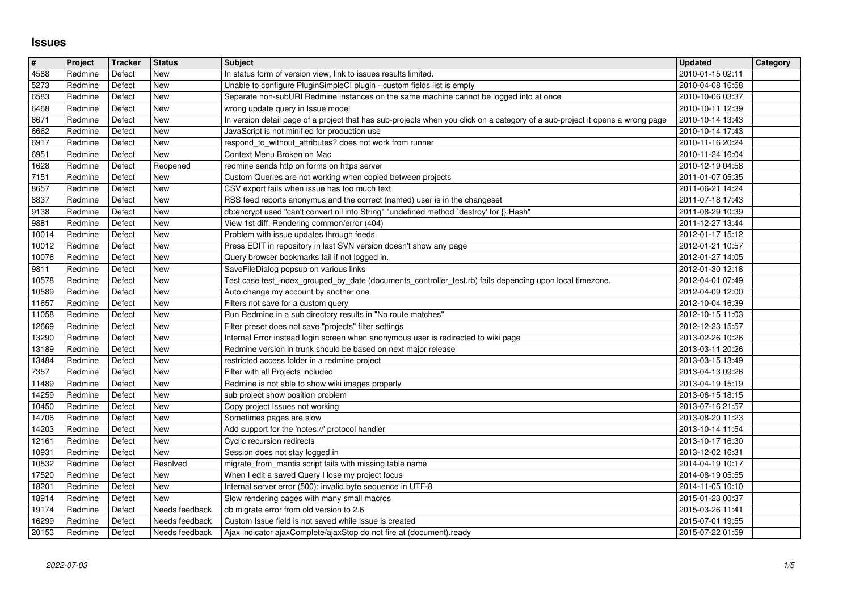## **Issues**

| $\sqrt{\frac{4}{15}}$ | Project            | Tracker          | <b>Status</b>          | <b>Subject</b>                                                                                                                                                     | <b>Updated</b>                       | Category |
|-----------------------|--------------------|------------------|------------------------|--------------------------------------------------------------------------------------------------------------------------------------------------------------------|--------------------------------------|----------|
| $\sqrt{4588}$         | Redmine            | Defect           | <b>New</b>             | In status form of version view, link to issues results limited.                                                                                                    | 2010-01-15 02:11                     |          |
| 5273<br>6583          | Redmine<br>Redmine | Defect<br>Defect | <b>New</b><br>New      | Unable to configure PluginSimpleCl plugin - custom fields list is empty<br>Separate non-subURI Redmine instances on the same machine cannot be logged into at once | 2010-04-08 16:58<br>2010-10-06 03:37 |          |
| 6468                  | Redmine            | Defect           | <b>New</b>             | wrong update query in Issue model                                                                                                                                  | 2010-10-11 12:39                     |          |
| 6671                  | Redmine            | Defect           | <b>New</b>             | In version detail page of a project that has sub-projects when you click on a category of a sub-project it opens a wrong page                                      | 2010-10-14 13:43                     |          |
| 6662<br>6917          | Redmine<br>Redmine | Defect<br>Defect | <b>New</b><br>New      | JavaScript is not minified for production use<br>respond_to_without_attributes? does not work from runner                                                          | 2010-10-14 17:43<br>2010-11-16 20:24 |          |
| 6951                  | Redmine            | Defect           | New                    | Context Menu Broken on Mac                                                                                                                                         | 2010-11-24 16:04                     |          |
| 1628                  | Redmine            | Defect           | Reopened               | redmine sends http on forms on https server                                                                                                                        | 2010-12-19 04:58                     |          |
| 7151<br>8657          | Redmine<br>Redmine | Defect<br>Defect | New<br>New             | Custom Queries are not working when copied between projects<br>CSV export fails when issue has too much text                                                       | 2011-01-07 05:35<br>2011-06-21 14:24 |          |
| 8837                  | Redmine            | Defect           | New                    | RSS feed reports anonymus and the correct (named) user is in the changeset                                                                                         | 2011-07-18 17:43                     |          |
| 9138                  | Redmine            | Defect           | <b>New</b>             | db:encrypt used "can't convert nil into String" "undefined method `destroy' for {}:Hash"                                                                           | 2011-08-29 10:39                     |          |
| 9881<br>10014         | Redmine<br>Redmine | Defect<br>Defect | New<br>New             | View 1st diff: Rendering common/error (404)<br>Problem with issue updates through feeds                                                                            | 2011-12-27 13:44<br>2012-01-17 15:12 |          |
| 10012                 | Redmine            | Defect           | <b>New</b>             | Press EDIT in repository in last SVN version doesn't show any page                                                                                                 | 2012-01-21 10:57                     |          |
| 10076                 | Redmine            | Defect           | New                    | Query browser bookmarks fail if not logged in.                                                                                                                     | 2012-01-27 14:05                     |          |
| 9811<br>10578         | Redmine<br>Redmine | Defect<br>Defect | New<br>New             | SaveFileDialog popsup on various links<br>Test case test_index_grouped_by_date (documents_controller_test.rb) fails depending upon local timezone.                 | 2012-01-30 12:18<br>2012-04-01 07:49 |          |
| 10589                 | Redmine            | Defect           | <b>New</b>             | Auto change my account by another one                                                                                                                              | 2012-04-09 12:00                     |          |
| 11657                 | Redmine            | Defect           | New                    | Filters not save for a custom query                                                                                                                                | 2012-10-04 16:39                     |          |
| 11058<br>12669        | Redmine<br>Redmine | Defect<br>Defect | <b>New</b><br>New      | Run Redmine in a sub directory results in "No route matches"<br>Filter preset does not save "projects" filter settings                                             | 2012-10-15 11:03<br>2012-12-23 15:57 |          |
| 13290                 | Redmine            | Defect           | <b>New</b>             | Internal Error instead login screen when anonymous user is redirected to wiki page                                                                                 | 2013-02-26 10:26                     |          |
| 13189                 | Redmine            | Defect           | <b>New</b>             | Redmine version in trunk should be based on next major release                                                                                                     | 2013-03-11 20:26                     |          |
| 13484<br>7357         | Redmine<br>Redmine | Defect<br>Defect | New<br>New             | restricted access folder in a redmine project<br>Filter with all Projects included                                                                                 | 2013-03-15 13:49<br>2013-04-13 09:26 |          |
| 11489                 | Redmine            | Defect           | <b>New</b>             | Redmine is not able to show wiki images properly                                                                                                                   | 2013-04-19 15:19                     |          |
| 14259                 | Redmine            | Defect           | New                    | sub project show position problem                                                                                                                                  | 2013-06-15 18:15                     |          |
| 10450<br>14706        | Redmine<br>Redmine | Defect<br>Defect | New<br><b>New</b>      | Copy project Issues not working<br>Sometimes pages are slow                                                                                                        | 2013-07-16 21:57<br>2013-08-20 11:23 |          |
| 14203                 | Redmine            | Defect           | <b>New</b>             | Add support for the 'notes://' protocol handler                                                                                                                    | 2013-10-14 11:54                     |          |
| 12161                 | Redmine            | Defect           | New                    | Cyclic recursion redirects                                                                                                                                         | 2013-10-17 16:30                     |          |
| 10931<br>10532        | Redmine<br>Redmine | Defect<br>Defect | <b>New</b><br>Resolved | Session does not stay logged in<br>migrate_from_mantis script fails with missing table name                                                                        | 2013-12-02 16:31<br>2014-04-19 10:17 |          |
| 17520                 | Redmine            | Defect           | New                    | When I edit a saved Query I lose my project focus                                                                                                                  | 2014-08-19 05:55                     |          |
| 18201                 | Redmine            | Defect           | <b>New</b>             | Internal server error (500): invalid byte sequence in UTF-8                                                                                                        | 2014-11-05 10:10                     |          |
| 18914<br>19174        | Redmine<br>Redmine | Defect<br>Defect | New<br>Needs feedback  | Slow rendering pages with many small macros<br>db migrate error from old version to 2.6                                                                            | 2015-01-23 00:37<br>2015-03-26 11:41 |          |
| 16299                 | Redmine            | Defect           | Needs feedback         | Custom Issue field is not saved while issue is created                                                                                                             | 2015-07-01 19:55                     |          |
| 20153                 | Redmine            | Defect           | Needs feedback         | Ajax indicator ajaxComplete/ajaxStop do not fire at (document).ready                                                                                               | 2015-07-22 01:59                     |          |
|                       |                    |                  |                        |                                                                                                                                                                    |                                      |          |
|                       |                    |                  |                        |                                                                                                                                                                    |                                      |          |
|                       |                    |                  |                        |                                                                                                                                                                    |                                      |          |
|                       |                    |                  |                        |                                                                                                                                                                    |                                      |          |
|                       |                    |                  |                        |                                                                                                                                                                    |                                      |          |
|                       |                    |                  |                        |                                                                                                                                                                    |                                      |          |
|                       |                    |                  |                        |                                                                                                                                                                    |                                      |          |
|                       |                    |                  |                        |                                                                                                                                                                    |                                      |          |
|                       |                    |                  |                        |                                                                                                                                                                    |                                      |          |
|                       |                    |                  |                        |                                                                                                                                                                    |                                      |          |
|                       |                    |                  |                        |                                                                                                                                                                    |                                      |          |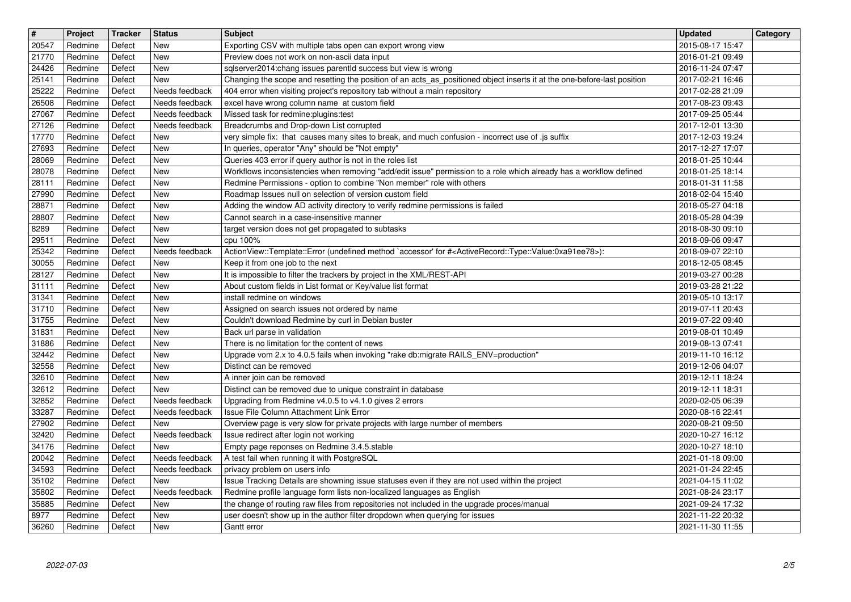| $\overline{\mathbf{H}}$ | Project            | Tracker          | <b>Status</b>                              | <b>Subject</b>                                                                                                                                                                                         | <b>Updated</b>                       | Category |
|-------------------------|--------------------|------------------|--------------------------------------------|--------------------------------------------------------------------------------------------------------------------------------------------------------------------------------------------------------|--------------------------------------|----------|
| 20547<br>21770          | Redmine<br>Redmine | Defect<br>Defect | New<br><b>New</b>                          | Exporting CSV with multiple tabs open can export wrong view<br>Preview does not work on non-ascii data input                                                                                           | 2015-08-17 15:47<br>2016-01-21 09:49 |          |
| 24426                   | Redmine            | Defect           | New                                        | sqlserver2014:chang issues parentld success but view is wrong                                                                                                                                          | 2016-11-24 07:47                     |          |
| 25141<br>25222          | Redmine<br>Redmine | Defect<br>Defect | New<br>Needs feedback                      | Changing the scope and resetting the position of an acts_as_positioned object inserts it at the one-before-last position<br>404 error when visiting project's repository tab without a main repository | 2017-02-21 16:46<br>2017-02-28 21:09 |          |
| 26508                   | Redmine            | Defect           | Needs feedback                             | excel have wrong column name at custom field                                                                                                                                                           | 2017-08-23 09:43                     |          |
| 27067<br>27126          | Redmine<br>Redmine | Defect<br>Defect | Needs feedback<br>Needs feedback           | Missed task for redmine:plugins:test<br>Breadcrumbs and Drop-down List corrupted                                                                                                                       | 2017-09-25 05:44<br>2017-12-01 13:30 |          |
| 17770                   | Redmine            | Defect           | New                                        | very simple fix: that causes many sites to break, and much confusion - incorrect use of .js suffix                                                                                                     | 2017-12-03 19:24                     |          |
| 27693<br>28069          | Redmine<br>Redmine | Defect<br>Defect | New<br><b>New</b>                          | In queries, operator "Any" should be "Not empty"<br>Queries 403 error if query author is not in the roles list                                                                                         | 2017-12-27 17:07<br>2018-01-25 10:44 |          |
| 28078                   | Redmine            | Defect           | New                                        | Workflows inconsistencies when removing "add/edit issue" permission to a role which already has a workflow defined                                                                                     | 2018-01-25 18:14                     |          |
| 28111<br>27990          | Redmine<br>Redmine | Defect<br>Defect | New<br>New                                 | Redmine Permissions - option to combine "Non member" role with others<br>Roadmap Issues null on selection of version custom field                                                                      | 2018-01-31 11:58<br>2018-02-04 15:40 |          |
| 28871<br>28807          | Redmine<br>Redmine | Defect<br>Defect | New<br>New                                 | Adding the window AD activity directory to verify redmine permissions is failed<br>Cannot search in a case-insensitive manner                                                                          | 2018-05-27 04:18<br>2018-05-28 04:39 |          |
| 8289                    | Redmine            | Defect           | New                                        | target version does not get propagated to subtasks                                                                                                                                                     | 2018-08-30 09:10                     |          |
| 29511<br>25342          | Redmine<br>Redmine | Defect<br>Defect | New<br>Needs feedback                      | cpu 100%<br>ActionView::Template::Error (undefined method `accessor' for # <activerecord::type::value:0xa91ee78>):</activerecord::type::value:0xa91ee78>                                               | 2018-09-06 09:47<br>2018-09-07 22:10 |          |
| 30055                   | Redmine            | Defect           | New                                        | Keep it from one job to the next                                                                                                                                                                       | 2018-12-05 08:45                     |          |
| 28127<br>31111          | Redmine<br>Redmine | Defect<br>Defect | New<br><b>New</b>                          | It is impossible to filter the trackers by project in the XML/REST-API<br>About custom fields in List format or Key/value list format                                                                  | 2019-03-27 00:28<br>2019-03-28 21:22 |          |
| 31341                   | Redmine            | Defect           | <b>New</b>                                 | install redmine on windows                                                                                                                                                                             | 2019-05-10 13:17                     |          |
| 31710<br>31755          | Redmine<br>Redmine | Defect<br>Defect | <b>New</b><br><b>New</b>                   | Assigned on search issues not ordered by name<br>Couldn't download Redmine by curl in Debian buster                                                                                                    | 2019-07-11 20:43<br>2019-07-22 09:40 |          |
| 31831                   | Redmine            | Defect           | <b>New</b>                                 | Back url parse in validation                                                                                                                                                                           | 2019-08-01 10:49                     |          |
| 31886<br>32442          | Redmine<br>Redmine | Defect<br>Defect | New<br><b>New</b>                          | There is no limitation for the content of news<br>Upgrade vom 2.x to 4.0.5 fails when invoking "rake db:migrate RAILS_ENV=production"                                                                  | 2019-08-13 07:41<br>2019-11-10 16:12 |          |
| 32558<br>32610          | Redmine<br>Redmine | Defect<br>Defect | New<br>New                                 | Distinct can be removed                                                                                                                                                                                | 2019-12-06 04:07<br>2019-12-11 18:24 |          |
| 32612                   | Redmine            | Defect           | New                                        | A inner join can be removed<br>Distinct can be removed due to unique constraint in database                                                                                                            | 2019-12-11 18:31                     |          |
| 32852                   | Redmine            | Defect           | Needs feedback                             | Upgrading from Redmine v4.0.5 to v4.1.0 gives 2 errors                                                                                                                                                 | 2020-02-05 06:39                     |          |
| 33287<br>27902          | Redmine<br>Redmine | Defect<br>Defect | Needs feedback<br>New                      | Issue File Column Attachment Link Error<br>Overview page is very slow for private projects with large number of members                                                                                | 2020-08-16 22:41<br>2020-08-21 09:50 |          |
| 32420                   | Redmine            | Defect           | Needs feedback                             | Issue redirect after login not working<br>Empty page reponses on Redmine 3.4.5.stable                                                                                                                  | 2020-10-27 16:12                     |          |
| 34176<br>20042          | Redmine<br>Redmine | Defect<br>Defect | New<br>Needs feedback                      | A test fail when running it with PostgreSQL                                                                                                                                                            | 2020-10-27 18:10<br>2021-01-18 09:00 |          |
| 34593<br>35102          | Redmine<br>Redmine | Defect<br>Defect | Needs feedback<br>$\sqrt{\phantom{a}}$ New | privacy problem on users info<br>Issue Tracking Details are showning issue statuses even if they are not used within the project                                                                       | 2021-01-24 22:45                     |          |
| 35802                   | Redmine            | Defect           | Needs feedback                             | Redmine profile language form lists non-localized languages as English                                                                                                                                 | 2021-04-15 11:02<br>2021-08-24 23:17 |          |
| 35885<br>8977           | Redmine<br>Redmine | Defect<br>Defect | New<br>New                                 | the change of routing raw files from repositories not included in the upgrade proces/manual<br>user doesn't show up in the author filter dropdown when querying for issues                             | 2021-09-24 17:32<br>2021-11-22 20:32 |          |
| 36260                   | Redmine            | Defect           | New                                        | Gantt error                                                                                                                                                                                            | 2021-11-30 11:55                     |          |
|                         |                    |                  |                                            |                                                                                                                                                                                                        |                                      |          |
|                         | 2022-07-03         |                  |                                            |                                                                                                                                                                                                        |                                      | 2/5      |
|                         |                    |                  |                                            |                                                                                                                                                                                                        |                                      |          |
|                         |                    |                  |                                            |                                                                                                                                                                                                        |                                      |          |
|                         |                    |                  |                                            |                                                                                                                                                                                                        |                                      |          |
|                         |                    |                  |                                            |                                                                                                                                                                                                        |                                      |          |
|                         |                    |                  |                                            |                                                                                                                                                                                                        |                                      |          |
|                         |                    |                  |                                            |                                                                                                                                                                                                        |                                      |          |
|                         |                    |                  |                                            |                                                                                                                                                                                                        |                                      |          |
|                         |                    |                  |                                            |                                                                                                                                                                                                        |                                      |          |
|                         |                    |                  |                                            |                                                                                                                                                                                                        |                                      |          |
|                         |                    |                  |                                            |                                                                                                                                                                                                        |                                      |          |
|                         |                    |                  |                                            |                                                                                                                                                                                                        |                                      |          |
|                         |                    |                  |                                            |                                                                                                                                                                                                        |                                      |          |
|                         |                    |                  |                                            |                                                                                                                                                                                                        |                                      |          |
|                         |                    |                  |                                            |                                                                                                                                                                                                        |                                      |          |
|                         |                    |                  |                                            |                                                                                                                                                                                                        |                                      |          |
|                         |                    |                  |                                            |                                                                                                                                                                                                        |                                      |          |
|                         |                    |                  |                                            |                                                                                                                                                                                                        |                                      |          |
|                         |                    |                  |                                            |                                                                                                                                                                                                        |                                      |          |
|                         |                    |                  |                                            |                                                                                                                                                                                                        |                                      |          |
|                         |                    |                  |                                            |                                                                                                                                                                                                        |                                      |          |
|                         |                    |                  |                                            |                                                                                                                                                                                                        |                                      |          |
|                         |                    |                  |                                            |                                                                                                                                                                                                        |                                      |          |
|                         |                    |                  |                                            |                                                                                                                                                                                                        |                                      |          |
|                         |                    |                  |                                            |                                                                                                                                                                                                        |                                      |          |
|                         |                    |                  |                                            |                                                                                                                                                                                                        |                                      |          |
|                         |                    |                  |                                            |                                                                                                                                                                                                        |                                      |          |
|                         |                    |                  |                                            |                                                                                                                                                                                                        |                                      |          |
|                         |                    |                  |                                            |                                                                                                                                                                                                        |                                      |          |
|                         |                    |                  |                                            |                                                                                                                                                                                                        |                                      |          |
|                         |                    |                  |                                            |                                                                                                                                                                                                        |                                      |          |
|                         |                    |                  |                                            |                                                                                                                                                                                                        |                                      |          |
|                         |                    |                  |                                            |                                                                                                                                                                                                        |                                      |          |
|                         |                    |                  |                                            |                                                                                                                                                                                                        |                                      |          |
|                         |                    |                  |                                            |                                                                                                                                                                                                        |                                      |          |
|                         |                    |                  |                                            |                                                                                                                                                                                                        |                                      |          |
|                         |                    |                  |                                            |                                                                                                                                                                                                        |                                      |          |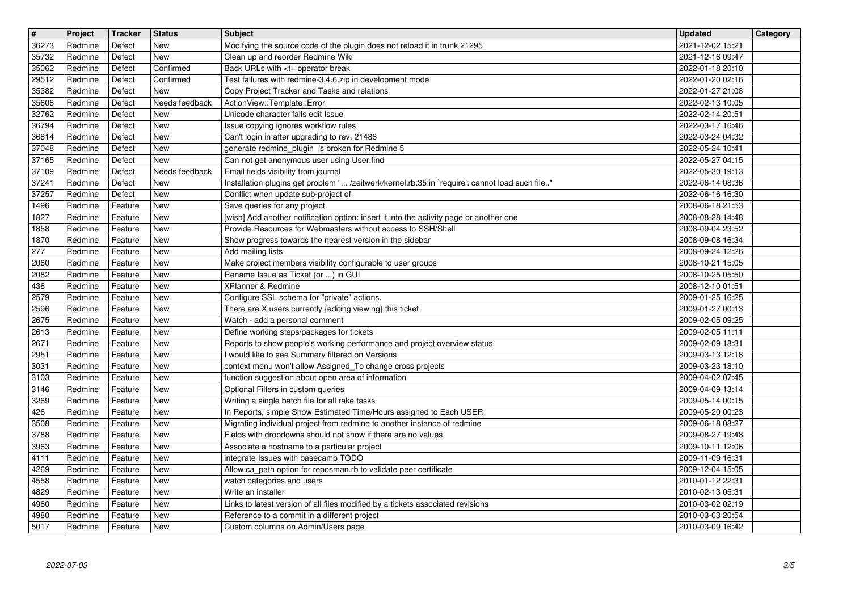| $\overline{\mathbf{r}}$ | Project            | Tracker            | <b>Status</b>                | <b>Subject</b>                                                                                                          | <b>Updated</b>                       | Category |
|-------------------------|--------------------|--------------------|------------------------------|-------------------------------------------------------------------------------------------------------------------------|--------------------------------------|----------|
| 36273<br>35732          | Redmine<br>Redmine | Defect<br>Defect   | New<br><b>New</b>            | Modifying the source code of the plugin does not reload it in trunk 21295<br>Clean up and reorder Redmine Wiki          | 2021-12-02 15:21<br>2021-12-16 09:47 |          |
| 35062                   | Redmine            | Defect             | Confirmed                    | Back URLs with <t+ break<="" operator="" td=""><td>2022-01-18 20:10</td><td></td></t+>                                  | 2022-01-18 20:10                     |          |
| 29512                   | Redmine            | Defect             | Confirmed                    | Test failures with redmine-3.4.6.zip in development mode                                                                | 2022-01-20 02:16                     |          |
| 35382<br>35608          | Redmine<br>Redmine | Defect<br>Defect   | <b>New</b><br>Needs feedback | Copy Project Tracker and Tasks and relations<br>ActionView::Template::Error                                             | 2022-01-27 21:08<br>2022-02-13 10:05 |          |
| 32762                   | Redmine            | Defect             | <b>New</b>                   | Unicode character fails edit Issue                                                                                      | 2022-02-14 20:51                     |          |
| 36794<br>36814          | Redmine<br>Redmine | Defect<br>Defect   | New<br>New                   | Issue copying ignores workflow rules<br>Can't login in after upgrading to rev. 21486                                    | 2022-03-17 16:46<br>2022-03-24 04:32 |          |
| 37048                   | Redmine            | Defect             | <b>New</b>                   | generate redmine_plugin is broken for Redmine 5                                                                         | 2022-05-24 10:41                     |          |
| 37165<br>37109          | Redmine<br>Redmine | Defect<br>Defect   | <b>New</b><br>Needs feedback | Can not get anonymous user using User.find<br>Email fields visibility from journal                                      | 2022-05-27 04:15<br>2022-05-30 19:13 |          |
| 37241                   | Redmine            | Defect             | New                          | Installation plugins get problem " /zeitwerk/kernel.rb:35:in `require': cannot load such file"                          | 2022-06-14 08:36                     |          |
| 37257                   | Redmine            | Defect             | <b>New</b>                   | Conflict when update sub-project of                                                                                     | 2022-06-16 16:30                     |          |
| 1496<br>1827            | Redmine<br>Redmine | Feature<br>Feature | <b>New</b><br>New            | Save queries for any project<br>[wish] Add another notification option: insert it into the activity page or another one | 2008-06-18 21:53<br>2008-08-28 14:48 |          |
| 1858                    | Redmine            | Feature            | New                          | Provide Resources for Webmasters without access to SSH/Shell                                                            | 2008-09-04 23:52                     |          |
| 1870<br>277             | Redmine<br>Redmine | Feature<br>Feature | <b>New</b><br><b>New</b>     | Show progress towards the nearest version in the sidebar<br>Add mailing lists                                           | 2008-09-08 16:34<br>2008-09-24 12:26 |          |
| 2060                    | Redmine            | Feature            | New                          | Make project members visibility configurable to user groups                                                             | 2008-10-21 15:05                     |          |
| 2082                    | Redmine<br>Redmine | Feature<br>Feature | <b>New</b><br><b>New</b>     | Rename Issue as Ticket (or ) in GUI<br>XPlanner & Redmine                                                               | 2008-10-25 05:50<br>2008-12-10 01:51 |          |
| 436<br>2579             | Redmine            | Feature            | <b>New</b>                   | Configure SSL schema for "private" actions.                                                                             | 2009-01-25 16:25                     |          |
| 2596                    | Redmine            | Feature            | <b>New</b>                   | There are X users currently {editing viewing} this ticket                                                               | 2009-01-27 00:13                     |          |
| 2675<br>2613            | Redmine<br>Redmine | Feature<br>Feature | New<br><b>New</b>            | Watch - add a personal comment<br>Define working steps/packages for tickets                                             | 2009-02-05 09:25<br>2009-02-05 11:11 |          |
| 2671                    | Redmine            | Feature            | <b>New</b>                   | Reports to show people's working performance and project overview status.                                               | 2009-02-09 18:31                     |          |
| 2951                    | Redmine            | Feature            | <b>New</b>                   | I would like to see Summery filtered on Versions                                                                        | 2009-03-13 12:18                     |          |
| 3031<br>3103            | Redmine<br>Redmine | Feature<br>Feature | New<br>New                   | context menu won't allow Assigned_To change cross projects<br>function suggestion about open area of information        | 2009-03-23 18:10<br>2009-04-02 07:45 |          |
| 3146                    | Redmine            | Feature            | <b>New</b>                   | Optional Filters in custom queries                                                                                      | 2009-04-09 13:14                     |          |
| 3269<br>426             | Redmine<br>Redmine | Feature<br>Feature | <b>New</b><br><b>New</b>     | Writing a single batch file for all rake tasks<br>In Reports, simple Show Estimated Time/Hours assigned to Each USER    | 2009-05-14 00:15<br>2009-05-20 00:23 |          |
| 3508                    | Redmine            | Feature            | <b>New</b>                   | Migrating individual project from redmine to another instance of redmine                                                | 2009-06-18 08:27                     |          |
| 3788                    | Redmine            | Feature            | <b>New</b>                   | Fields with dropdowns should not show if there are no values                                                            | 2009-08-27 19:48                     |          |
| 3963<br>4111            | Redmine<br>Redmine | Feature<br>Feature | <b>New</b><br><b>New</b>     | Associate a hostname to a particular project<br>integrate Issues with basecamp TODO                                     | 2009-10-11 12:06<br>2009-11-09 16:31 |          |
| 4269                    | Redmine            | Feature            | New                          | Allow ca_path option for reposman.rb to validate peer certificate                                                       | 2009-12-04 15:05                     |          |
| 4558<br>4829            | Redmine<br>Redmine | Feature<br>Feature | New<br><b>New</b>            | watch categories and users<br>Write an installer                                                                        | 2010-01-12 22:31<br>2010-02-13 05:31 |          |
| 4960                    | Redmine            | Feature            | New                          | Links to latest version of all files modified by a tickets associated revisions                                         | 2010-03-02 02:19                     |          |
| 4980<br>5017            | Redmine<br>Redmine | Feature<br>Feature | New<br>New                   | Reference to a commit in a different project<br>Custom columns on Admin/Users page                                      | 2010-03-03 20:54<br>2010-03-09 16:42 |          |
|                         |                    |                    |                              |                                                                                                                         |                                      |          |
|                         |                    |                    |                              |                                                                                                                         |                                      |          |
|                         |                    |                    |                              |                                                                                                                         |                                      |          |
|                         |                    |                    |                              |                                                                                                                         |                                      |          |
|                         |                    |                    |                              |                                                                                                                         |                                      |          |
|                         |                    |                    |                              |                                                                                                                         |                                      |          |
|                         |                    |                    |                              |                                                                                                                         |                                      |          |
|                         |                    |                    |                              |                                                                                                                         |                                      |          |
|                         |                    |                    |                              |                                                                                                                         |                                      |          |
|                         |                    |                    |                              |                                                                                                                         |                                      |          |
|                         |                    |                    |                              |                                                                                                                         |                                      |          |
|                         |                    |                    |                              |                                                                                                                         |                                      |          |
|                         |                    |                    |                              |                                                                                                                         |                                      |          |
|                         |                    |                    |                              |                                                                                                                         |                                      |          |
|                         |                    |                    |                              |                                                                                                                         |                                      |          |
|                         |                    |                    |                              |                                                                                                                         |                                      |          |
|                         |                    |                    |                              |                                                                                                                         |                                      |          |
|                         |                    |                    |                              |                                                                                                                         |                                      |          |
|                         |                    |                    |                              |                                                                                                                         |                                      |          |
|                         |                    |                    |                              |                                                                                                                         |                                      |          |
|                         |                    |                    |                              |                                                                                                                         |                                      |          |
|                         |                    |                    |                              |                                                                                                                         |                                      |          |
|                         |                    |                    |                              |                                                                                                                         |                                      |          |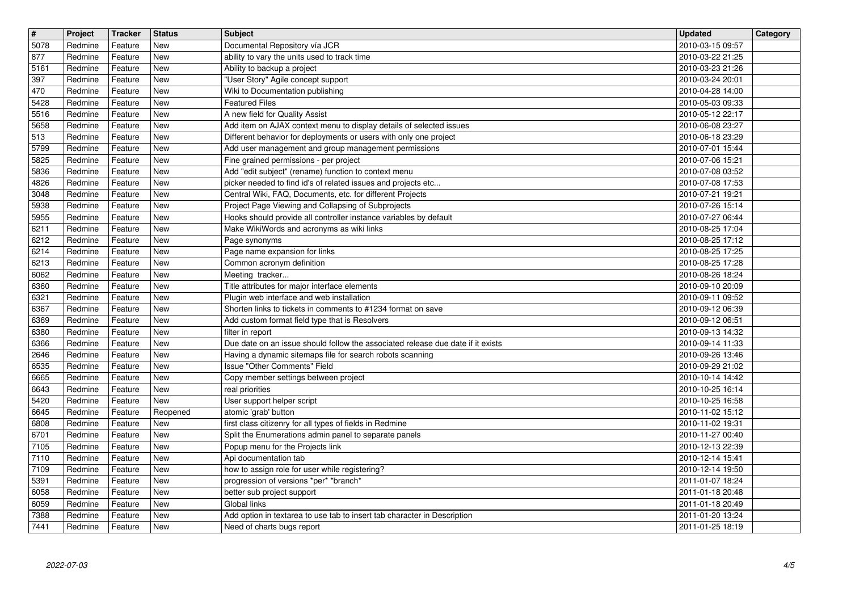| $\overline{\mathbf{r}}$ | Project            | Tracker            | <b>Status</b>            | <b>Subject</b>                                                                                                                           | <b>Updated</b>                       | Category |
|-------------------------|--------------------|--------------------|--------------------------|------------------------------------------------------------------------------------------------------------------------------------------|--------------------------------------|----------|
| 5078<br>877             | Redmine<br>Redmine | Feature<br>Feature | New<br>New               | Documental Repository vía JCR<br>ability to vary the units used to track time                                                            | 2010-03-15 09:57<br>2010-03-22 21:25 |          |
| 5161                    | Redmine            | Feature            | New                      | Ability to backup a project                                                                                                              | 2010-03-23 21:26                     |          |
| 397                     | Redmine            | Feature            | New<br>New               | "User Story" Agile concept support                                                                                                       | 2010-03-24 20:01                     |          |
| 470<br>5428             | Redmine<br>Redmine | Feature<br>Feature | New                      | Wiki to Documentation publishing<br><b>Featured Files</b>                                                                                | 2010-04-28 14:00<br>2010-05-03 09:33 |          |
| 5516                    | Redmine            | Feature            | <b>New</b>               | A new field for Quality Assist                                                                                                           | 2010-05-12 22:17                     |          |
| 5658<br>$\sqrt{513}$    | Redmine<br>Redmine | Feature<br>Feature | <b>New</b><br>New        | Add item on AJAX context menu to display details of selected issues<br>Different behavior for deployments or users with only one project | 2010-06-08 23:27<br>2010-06-18 23:29 |          |
| 5799                    | Redmine            | Feature            | <b>New</b>               | Add user management and group management permissions                                                                                     | 2010-07-01 15:44                     |          |
| 5825<br>5836            | Redmine<br>Redmine | Feature<br>Feature | <b>New</b><br>New        | Fine grained permissions - per project<br>Add "edit subject" (rename) function to context menu                                           | 2010-07-06 15:21<br>2010-07-08 03:52 |          |
| $\sqrt{4826}$           | Redmine            | Feature            | New                      | picker needed to find id's of related issues and projects etc                                                                            | 2010-07-08 17:53                     |          |
| 3048<br>5938            | Redmine<br>Redmine | Feature<br>Feature | <b>New</b><br>New        | Central Wiki, FAQ, Documents, etc. for different Projects<br>Project Page Viewing and Collapsing of Subprojects                          | 2010-07-21 19:21<br>2010-07-26 15:14 |          |
| 5955                    | Redmine            | Feature            | <b>New</b>               | Hooks should provide all controller instance variables by default                                                                        | 2010-07-27 06:44                     |          |
| 6211<br>6212            | Redmine<br>Redmine | Feature<br>Feature | <b>New</b><br>New        | Make WikiWords and acronyms as wiki links<br>Page synonyms                                                                               | 2010-08-25 17:04<br>2010-08-25 17:12 |          |
| 6214                    | Redmine            | Feature            | <b>New</b>               | Page name expansion for links                                                                                                            | 2010-08-25 17:25                     |          |
| $\sqrt{6213}$<br>6062   | Redmine<br>Redmine | Feature<br>Feature | <b>New</b><br><b>New</b> | Common acronym definition<br>Meeting tracker                                                                                             | 2010-08-25 17:28<br>2010-08-26 18:24 |          |
| 6360                    | Redmine            | Feature            | <b>New</b>               | Title attributes for major interface elements                                                                                            | 2010-09-10 20:09                     |          |
| 6321<br>6367            | Redmine<br>Redmine | Feature<br>Feature | <b>New</b><br><b>New</b> | Plugin web interface and web installation<br>Shorten links to tickets in comments to #1234 format on save                                | 2010-09-11 09:52<br>2010-09-12 06:39 |          |
| 6369                    | Redmine            | Feature            | New                      | Add custom format field type that is Resolvers                                                                                           | 2010-09-12 06:51                     |          |
| 6380<br>6366            | Redmine<br>Redmine | Feature<br>Feature | <b>New</b><br><b>New</b> | filter in report<br>Due date on an issue should follow the associated release due date if it exists                                      | 2010-09-13 14:32<br>2010-09-14 11:33 |          |
| 2646                    | Redmine            | Feature            | New                      | Having a dynamic sitemaps file for search robots scanning                                                                                | 2010-09-26 13:46                     |          |
| 6535<br>6665            | Redmine<br>Redmine | Feature<br>Feature | <b>New</b><br><b>New</b> | Issue "Other Comments" Field                                                                                                             | 2010-09-29 21:02<br>2010-10-14 14:42 |          |
| 6643                    | Redmine            | Feature            | <b>New</b>               | Copy member settings between project<br>real priorities                                                                                  | 2010-10-25 16:14                     |          |
| 5420                    | Redmine            | Feature            | <b>New</b>               | User support helper script                                                                                                               | 2010-10-25 16:58                     |          |
| 6645<br>6808            | Redmine<br>Redmine | Feature<br>Feature | Reopened<br><b>New</b>   | atomic 'grab' button<br>first class citizenry for all types of fields in Redmine                                                         | 2010-11-02 15:12<br>2010-11-02 19:31 |          |
| 6701                    | Redmine            | Feature            | New                      | Split the Enumerations admin panel to separate panels                                                                                    | 2010-11-27 00:40                     |          |
| 7105<br>7110            | Redmine<br>Redmine | Feature<br>Feature | <b>New</b><br><b>New</b> | Popup menu for the Projects link<br>Api documentation tab                                                                                | 2010-12-13 22:39<br>2010-12-14 15:41 |          |
| 7109                    | Redmine            | Feature            | New                      | how to assign role for user while registering?                                                                                           | 2010-12-14 19:50                     |          |
| 5391<br>6058            | Redmine<br>Redmine | Feature<br>Feature | New<br><b>New</b>        | progression of versions *per* *branch*<br>better sub project support                                                                     | 2011-01-07 18:24<br>2011-01-18 20:48 |          |
| 6059                    | Redmine            | Feature            | New                      | Global links                                                                                                                             | 2011-01-18 20:49                     |          |
| 7388<br>7441            | Redmine<br>Redmine | Feature<br>Feature | New<br>New               | Add option in textarea to use tab to insert tab character in Description<br>Need of charts bugs report                                   | 2011-01-20 13:24<br>2011-01-25 18:19 |          |
|                         |                    |                    |                          |                                                                                                                                          |                                      |          |
|                         |                    |                    |                          |                                                                                                                                          |                                      |          |
|                         |                    |                    |                          |                                                                                                                                          |                                      |          |
|                         |                    |                    |                          |                                                                                                                                          |                                      |          |
|                         |                    |                    |                          |                                                                                                                                          |                                      |          |
|                         |                    |                    |                          |                                                                                                                                          |                                      |          |
|                         |                    |                    |                          |                                                                                                                                          |                                      |          |
|                         |                    |                    |                          |                                                                                                                                          |                                      |          |
|                         |                    |                    |                          |                                                                                                                                          |                                      |          |
|                         |                    |                    |                          |                                                                                                                                          |                                      |          |
|                         |                    |                    |                          |                                                                                                                                          |                                      |          |
|                         |                    |                    |                          |                                                                                                                                          |                                      |          |
|                         |                    |                    |                          |                                                                                                                                          |                                      |          |
|                         |                    |                    |                          |                                                                                                                                          |                                      |          |
|                         |                    |                    |                          |                                                                                                                                          |                                      |          |
|                         |                    |                    |                          |                                                                                                                                          |                                      |          |
|                         |                    |                    |                          |                                                                                                                                          |                                      |          |
|                         |                    |                    |                          |                                                                                                                                          |                                      |          |